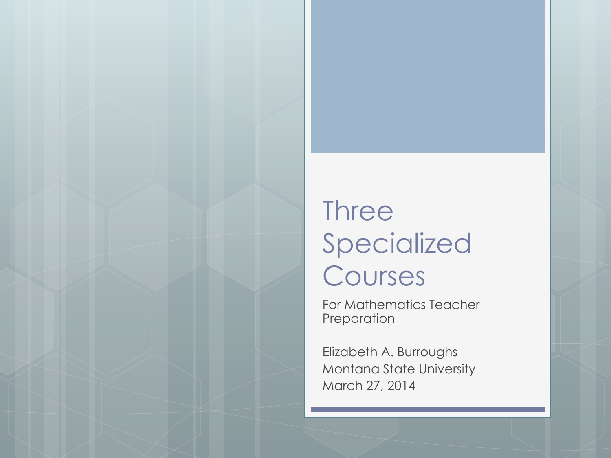# **Three** Specialized Courses

For Mathematics Teacher Preparation

Elizabeth A. Burroughs Montana State University March 27, 2014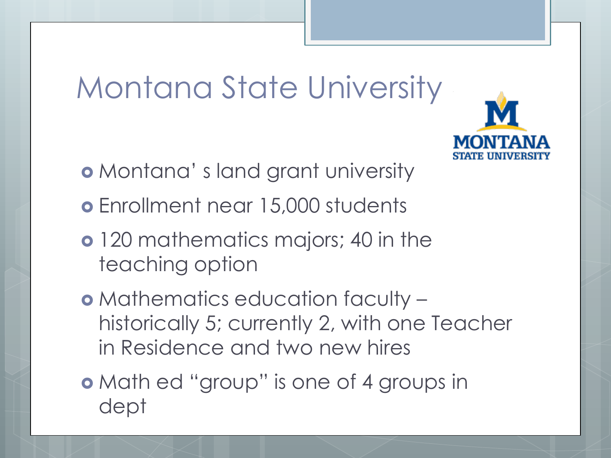# Montana State University

- Montana' s land grant university
- Enrollment near 15,000 students
- o 120 mathematics majors; 40 in the teaching option
- Mathematics education faculty historically 5; currently 2, with one Teacher in Residence and two new hires
- Math ed "group" is one of 4 groups in dept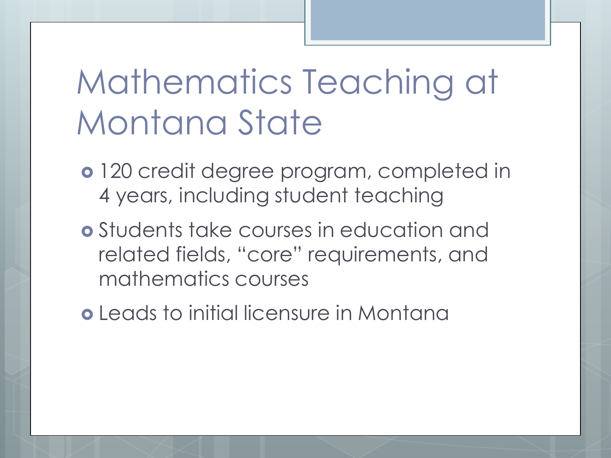# Mathematics Teaching at Montana State

- 120 credit degree program, completed in 4 years, including student teaching
- Students take courses in education and related fields, "core" requirements, and mathematics courses
- Leads to initial licensure in Montana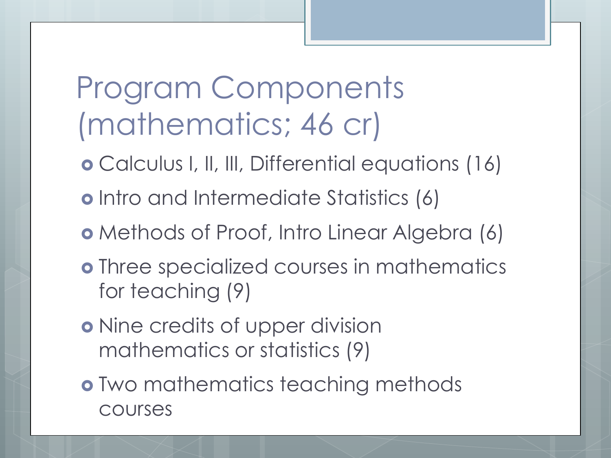# Program Components (mathematics; 46 cr)

- Calculus I, II, III, Differential equations (16)
- o Intro and Intermediate Statistics (6)
- Methods of Proof, Intro Linear Algebra (6)
- Three specialized courses in mathematics for teaching (9)
- o Nine credits of upper division mathematics or statistics (9)
- Two mathematics teaching methods courses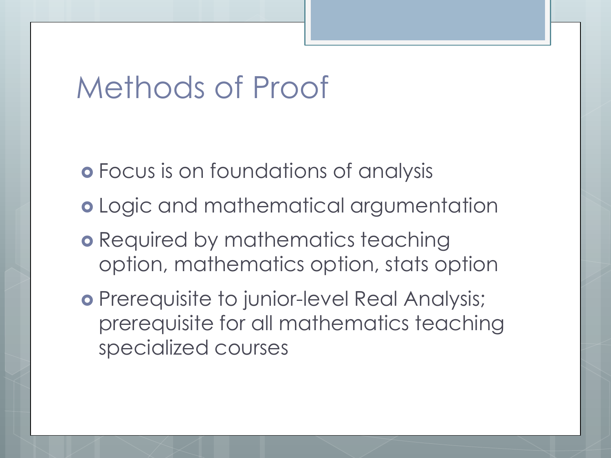#### Methods of Proof

- Focus is on foundations of analysis
- o Logic and mathematical argumentation
- **o** Required by mathematics teaching option, mathematics option, stats option
- o Prerequisite to junior-level Real Analysis; prerequisite for all mathematics teaching specialized courses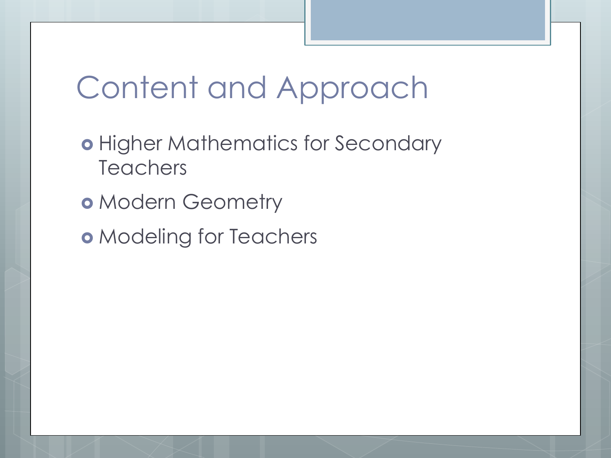# Content and Approach

- o Higher Mathematics for Secondary **Teachers**
- o Modern Geometry
- o Modeling for Teachers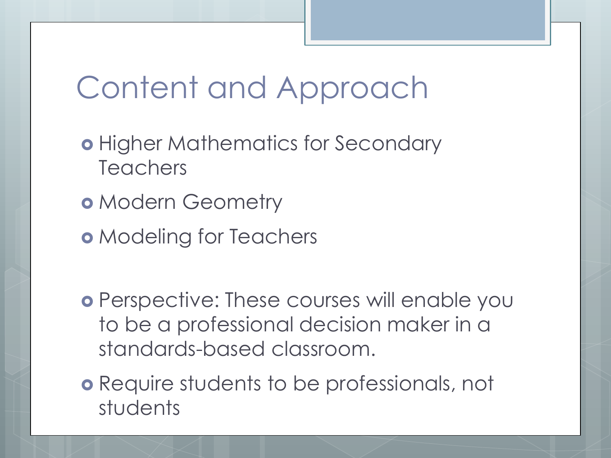# Content and Approach

- **o** Higher Mathematics for Secondary **Teachers**
- o Modern Geometry
- o Modeling for Teachers
- Perspective: These courses will enable you to be a professional decision maker in a standards-based classroom.
- Require students to be professionals, not students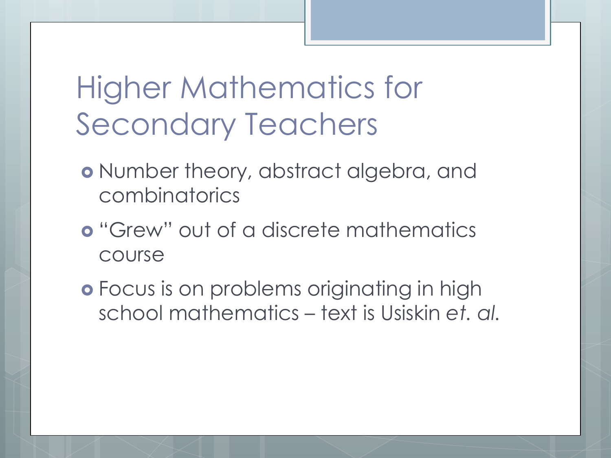Higher Mathematics for Secondary Teachers

- o Number theory, abstract algebra, and combinatorics
- **o** "Grew" out of a discrete mathematics course
- Focus is on problems originating in high school mathematics – text is Usiskin *et. al.*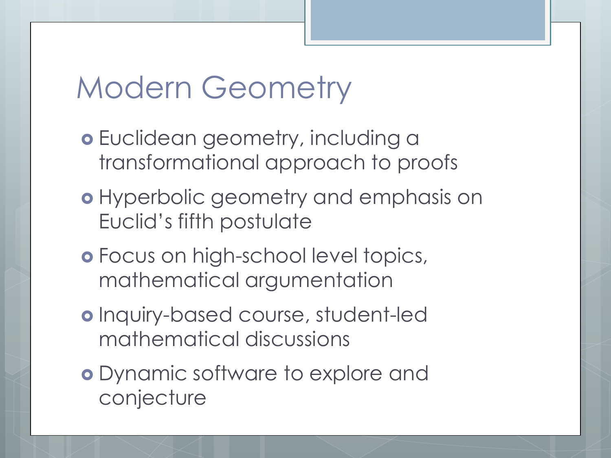### Modern Geometry

- o Euclidean geometry, including a transformational approach to proofs
- o Hyperbolic geometry and emphasis on Euclid's fifth postulate
- Focus on high-school level topics, mathematical argumentation
- o Inquiry-based course, student-led mathematical discussions
- Dynamic software to explore and conjecture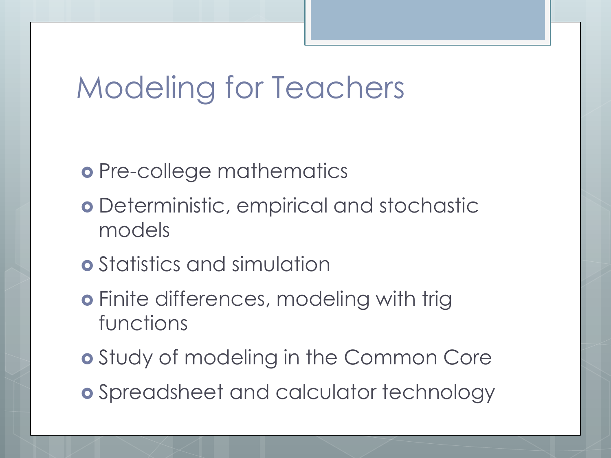# Modeling for Teachers

- o Pre-college mathematics
- Deterministic, empirical and stochastic models
- Statistics and simulation
- **o** Finite differences, modeling with trig functions
- **o** Study of modeling in the Common Core
- Spreadsheet and calculator technology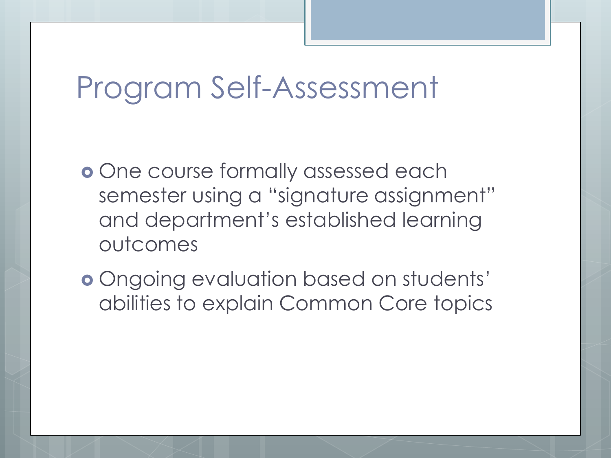#### Program Self-Assessment

- **o** One course formally assessed each semester using a "signature assignment" and department's established learning outcomes
- Ongoing evaluation based on students' abilities to explain Common Core topics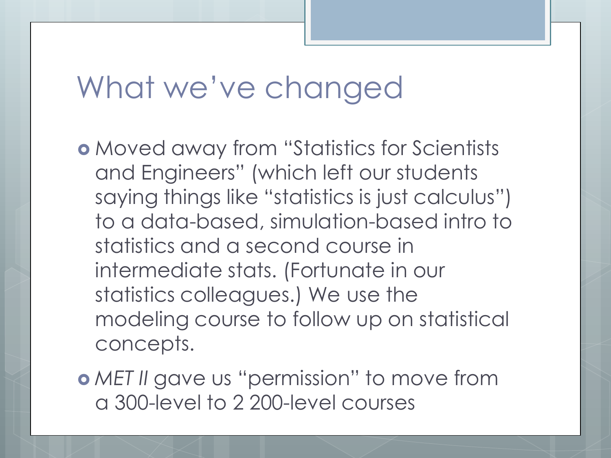### What we've changed

 Moved away from "Statistics for Scientists and Engineers" (which left our students saying things like "statistics is just calculus") to a data-based, simulation-based intro to statistics and a second course in intermediate stats. (Fortunate in our statistics colleagues.) We use the modeling course to follow up on statistical concepts.

 *MET II* gave us "permission" to move from a 300-level to 2 200-level courses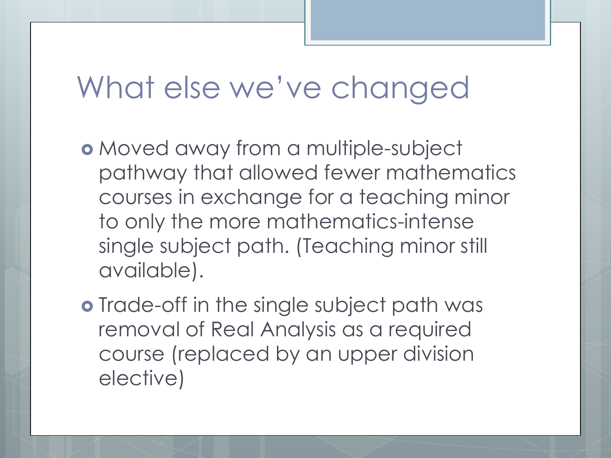#### What else we've changed

- Moved away from a multiple-subject pathway that allowed fewer mathematics courses in exchange for a teaching minor to only the more mathematics-intense single subject path. (Teaching minor still available).
- o Trade-off in the single subject path was removal of Real Analysis as a required course (replaced by an upper division elective)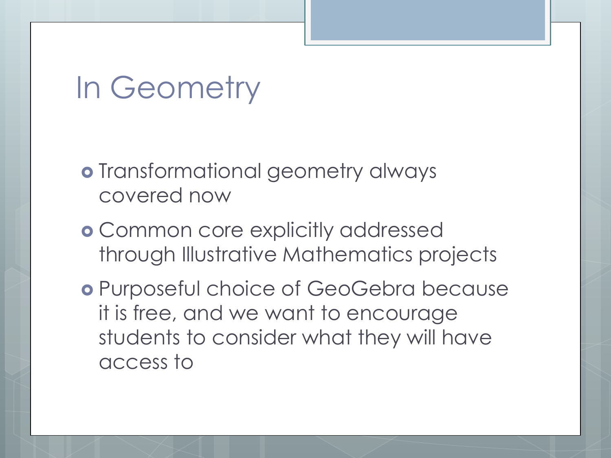#### In Geometry

- o Transformational geometry always covered now
- Common core explicitly addressed through Illustrative Mathematics projects
- Purposeful choice of GeoGebra because it is free, and we want to encourage students to consider what they will have access to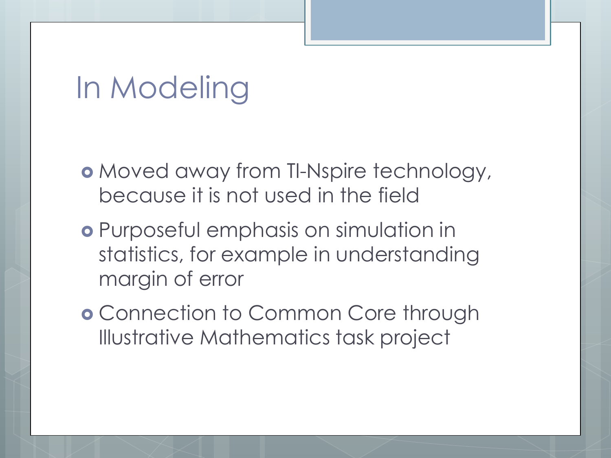# In Modeling

- Moved away from TI-Nspire technology, because it is not used in the field
- Purposeful emphasis on simulation in statistics, for example in understanding margin of error
- Connection to Common Core through Illustrative Mathematics task project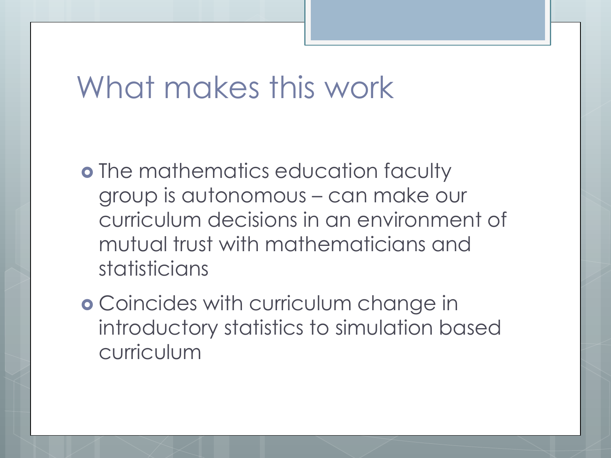#### What makes this work

- **o** The mathematics education faculty group is autonomous – can make our curriculum decisions in an environment of mutual trust with mathematicians and statisticians
- Coincides with curriculum change in introductory statistics to simulation based curriculum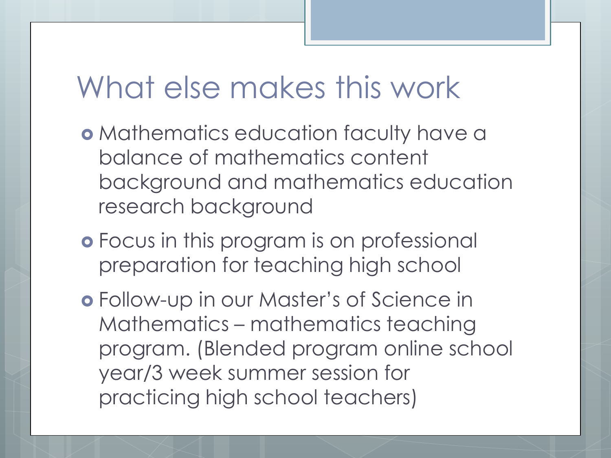#### What else makes this work

- **o** Mathematics education faculty have a balance of mathematics content background and mathematics education research background
- Focus in this program is on professional preparation for teaching high school
- Follow-up in our Master's of Science in Mathematics – mathematics teaching program. (Blended program online school year/3 week summer session for practicing high school teachers)